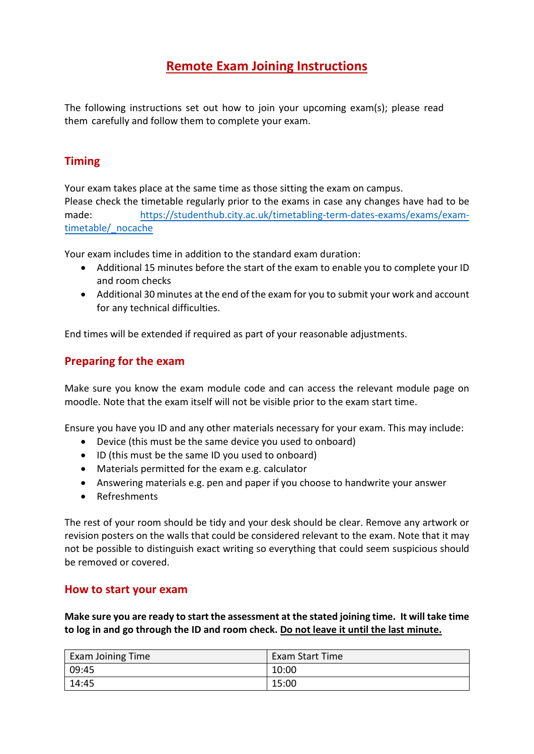# **Remote Exam Joining Instructions**

The following instructions set out how to join your upcoming exam(s); please read them carefully and follow them to complete your exam.

## **Timing**

Your exam takes place at the same time as those sitting the exam on campus.

Please check the timetable regularly prior to the exams in case any changes have had to be made: [https://studenthub.city.ac.uk/timetabling-term-dates-exams/exams/exam](https://studenthub.city.ac.uk/timetabling-term-dates-exams/exams/exam-timetable/_nocache)[timetable/\\_nocache](https://studenthub.city.ac.uk/timetabling-term-dates-exams/exams/exam-timetable/_nocache)

Your exam includes time in addition to the standard exam duration:

- Additional 15 minutes before the start of the exam to enable you to complete your ID and room checks
- Additional 30 minutes at the end of the exam for you to submit your work and account for any technical difficulties.

End times will be extended if required as part of your reasonable adjustments.

# **Preparing for the exam**

Make sure you know the exam module code and can access the relevant module page on moodle. Note that the exam itself will not be visible prior to the exam start time.

Ensure you have you ID and any other materials necessary for your exam. This may include:

- Device (this must be the same device you used to onboard)
- ID (this must be the same ID you used to onboard)
- Materials permitted for the exam e.g. calculator
- Answering materials e.g. pen and paper if you choose to handwrite your answer
- Refreshments

The rest of your room should be tidy and your desk should be clear. Remove any artwork or revision posters on the walls that could be considered relevant to the exam. Note that it may not be possible to distinguish exact writing so everything that could seem suspicious should be removed or covered.

### **How to start your exam**

**Make sure you are ready to start the assessment at the stated joining time. It will take time to log in and go through the ID and room check. Do not leave it until the last minute.**

| <b>Exam Joining Time</b> | <b>Exam Start Time</b> |
|--------------------------|------------------------|
| 09:45                    | 10:00                  |
| 14:45                    | 15:00                  |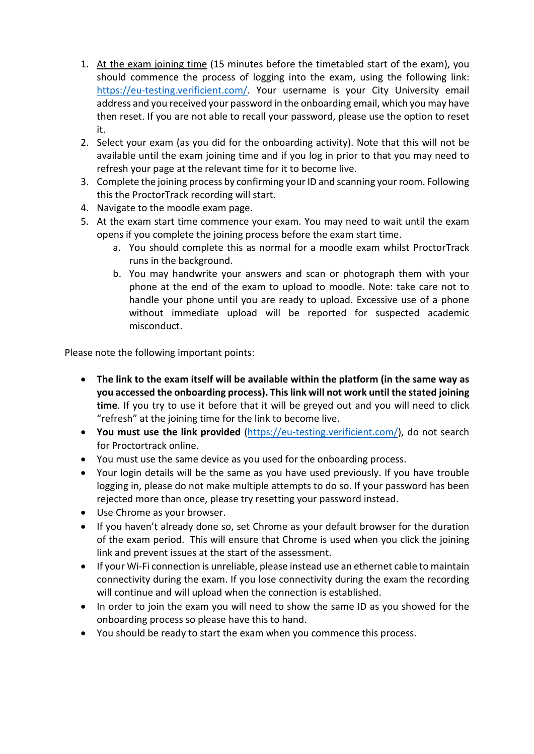- 1. At the exam joining time (15 minutes before the timetabled start of the exam), you should commence the process of logging into the exam, using the following link: [https://eu-testing.verificient.com/.](https://eu-testing.verificient.com/) Your username is your City University email address and you received your password in the onboarding email, which you may have then reset. If you are not able to recall your password, please use the option to reset it.
- 2. Select your exam (as you did for the onboarding activity). Note that this will not be available until the exam joining time and if you log in prior to that you may need to refresh your page at the relevant time for it to become live.
- 3. Complete the joining process by confirming your ID and scanning your room. Following this the ProctorTrack recording will start.
- 4. Navigate to the moodle exam page.
- 5. At the exam start time commence your exam. You may need to wait until the exam opens if you complete the joining process before the exam start time.
	- a. You should complete this as normal for a moodle exam whilst ProctorTrack runs in the background.
	- b. You may handwrite your answers and scan or photograph them with your phone at the end of the exam to upload to moodle. Note: take care not to handle your phone until you are ready to upload. Excessive use of a phone without immediate upload will be reported for suspected academic misconduct.

Please note the following important points:

- **The link to the exam itself will be available within the platform (in the same way as you accessed the onboarding process). This link will not work until the stated joining time**. If you try to use it before that it will be greyed out and you will need to click "refresh" at the joining time for the link to become live.
- **You must use the link provided** [\(https://eu-testing.verificient.com/\)](https://eu-testing.verificient.com/), do not search for Proctortrack online.
- You must use the same device as you used for the onboarding process.
- Your login details will be the same as you have used previously. If you have trouble logging in, please do not make multiple attempts to do so. If your password has been rejected more than once, please try resetting your password instead.
- Use Chrome as your browser.
- If you haven't already done so, set Chrome as your default browser for the duration of the exam period. This will ensure that Chrome is used when you click the joining link and prevent issues at the start of the assessment.
- If your Wi-Fi connection is unreliable, please instead use an ethernet cable to maintain connectivity during the exam. If you lose connectivity during the exam the recording will continue and will upload when the connection is established.
- In order to join the exam you will need to show the same ID as you showed for the onboarding process so please have this to hand.
- You should be ready to start the exam when you commence this process.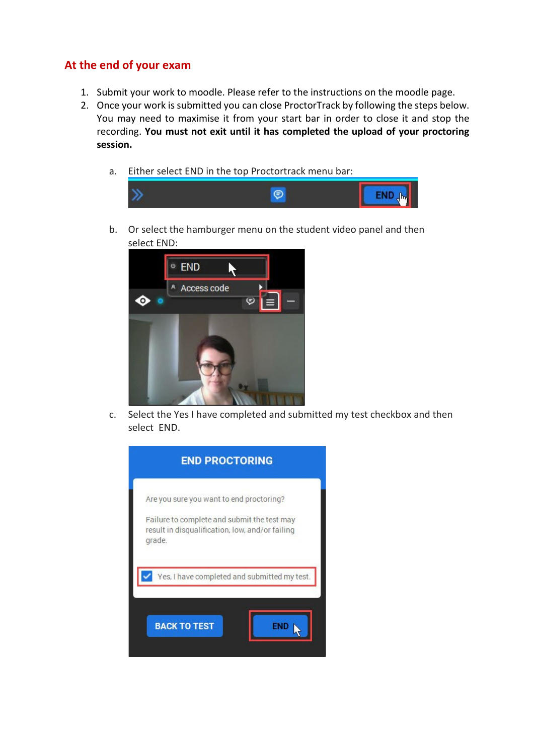### **At the end of your exam**

- 1. Submit your work to moodle. Please refer to the instructions on the moodle page.
- 2. Once your work is submitted you can close ProctorTrack by following the steps below. You may need to maximise it from your start bar in order to close it and stop the recording. **You must not exit until it has completed the upload of your proctoring session.**
	- a. Either select END in the top Proctortrack menu bar:



b. Or select the hamburger menu on the student video panel and then select END:



c. Select the Yes I have completed and submitted my test checkbox and then select END.

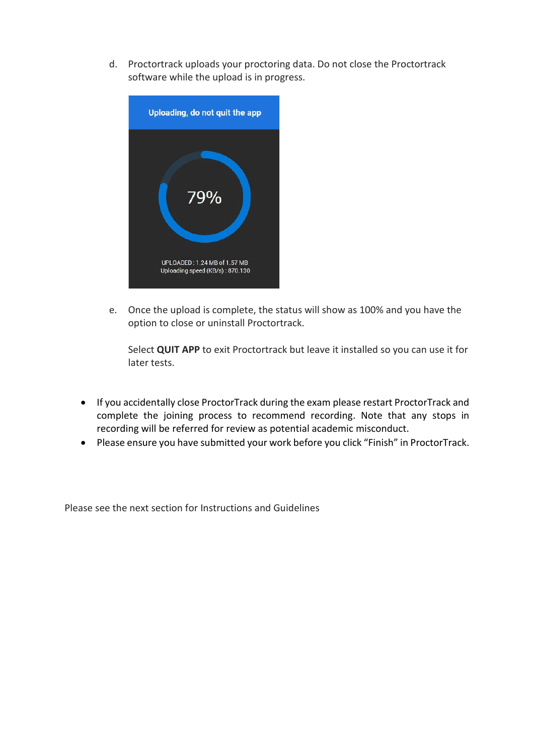d. Proctortrack uploads your proctoring data. Do not close the Proctortrack software while the upload is in progress.



e. Once the upload is complete, the status will show as 100% and you have the option to close or uninstall Proctortrack.

Select **QUIT APP** to exit Proctortrack but leave it installed so you can use it for later tests.

- If you accidentally close ProctorTrack during the exam please restart ProctorTrack and complete the joining process to recommend recording. Note that any stops in recording will be referred for review as potential academic misconduct.
- Please ensure you have submitted your work before you click "Finish" in ProctorTrack.

Please see the next section for Instructions and Guidelines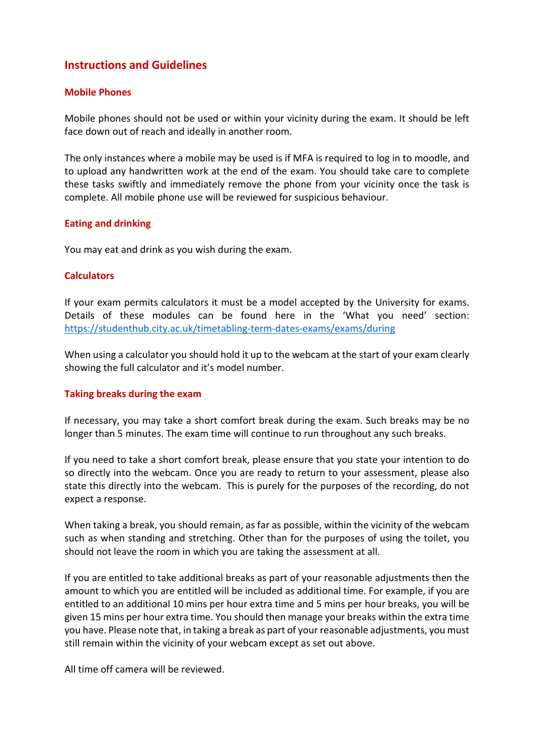### **Instructions and Guidelines**

### **Mobile Phones**

Mobile phones should not be used or within your vicinity during the exam. It should be left face down out of reach and ideally in another room.

The only instances where a mobile may be used is if MFA is required to log in to moodle, and to upload any handwritten work at the end of the exam. You should take care to complete these tasks swiftly and immediately remove the phone from your vicinity once the task is complete. All mobile phone use will be reviewed for suspicious behaviour.

#### **Eating and drinking**

You may eat and drink as you wish during the exam.

#### **Calculators**

If your exam permits calculators it must be a model accepted by the University for exams. Details of these modules can be found here in the 'What you need' section: <https://studenthub.city.ac.uk/timetabling-term-dates-exams/exams/during>

When using a calculator you should hold it up to the webcam at the start of your exam clearly showing the full calculator and it's model number.

#### **Taking breaks during the exam**

If necessary, you may take a short comfort break during the exam. Such breaks may be no longer than 5 minutes. The exam time will continue to run throughout any such breaks.

If you need to take a short comfort break, please ensure that you state your intention to do so directly into the webcam. Once you are ready to return to your assessment, please also state this directly into the webcam. This is purely for the purposes of the recording, do not expect a response.

When taking a break, you should remain, as far as possible, within the vicinity of the webcam such as when standing and stretching. Other than for the purposes of using the toilet, you should not leave the room in which you are taking the assessment at all.

If you are entitled to take additional breaks as part of your reasonable adjustments then the amount to which you are entitled will be included as additional time. For example, if you are entitled to an additional 10 mins per hour extra time and 5 mins per hour breaks, you will be given 15 mins per hour extra time. You should then manage your breaks within the extra time you have. Please note that, in taking a break as part of your reasonable adjustments, you must still remain within the vicinity of your webcam except as set out above.

All time off camera will be reviewed.